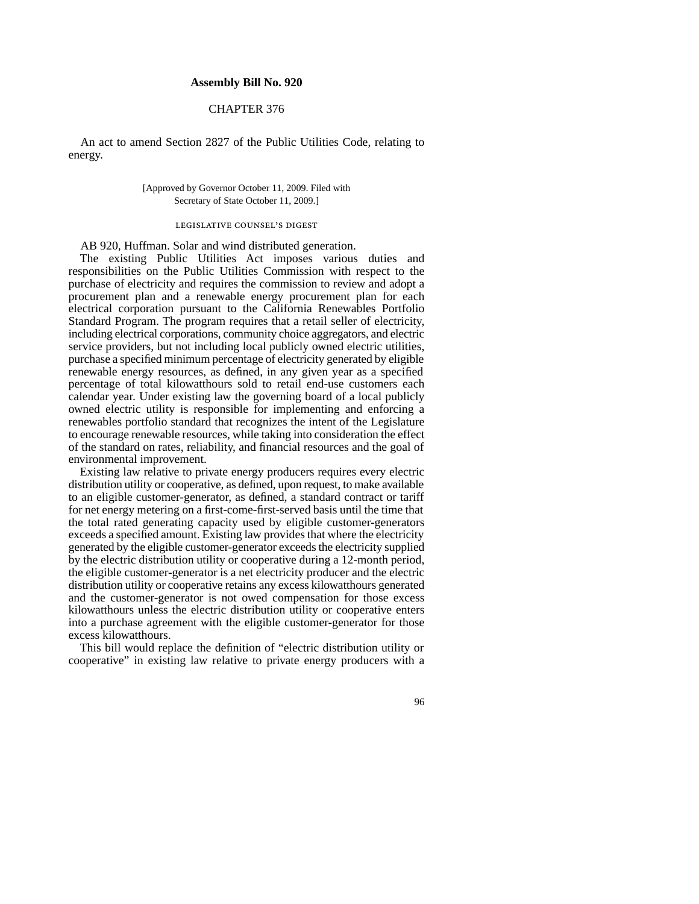## **Assembly Bill No. 920**

# CHAPTER 376

An act to amend Section 2827 of the Public Utilities Code, relating to energy.

### [Approved by Governor October 11, 2009. Filed with Secretary of State October 11, 2009.]

#### legislative counsel's digest

AB 920, Huffman. Solar and wind distributed generation.

The existing Public Utilities Act imposes various duties and responsibilities on the Public Utilities Commission with respect to the purchase of electricity and requires the commission to review and adopt a procurement plan and a renewable energy procurement plan for each electrical corporation pursuant to the California Renewables Portfolio Standard Program. The program requires that a retail seller of electricity, including electrical corporations, community choice aggregators, and electric service providers, but not including local publicly owned electric utilities, purchase a specified minimum percentage of electricity generated by eligible renewable energy resources, as defined, in any given year as a specified percentage of total kilowatthours sold to retail end-use customers each calendar year. Under existing law the governing board of a local publicly owned electric utility is responsible for implementing and enforcing a renewables portfolio standard that recognizes the intent of the Legislature to encourage renewable resources, while taking into consideration the effect of the standard on rates, reliability, and financial resources and the goal of environmental improvement.

Existing law relative to private energy producers requires every electric distribution utility or cooperative, as defined, upon request, to make available to an eligible customer-generator, as defined, a standard contract or tariff for net energy metering on a first-come-first-served basis until the time that the total rated generating capacity used by eligible customer-generators exceeds a specified amount. Existing law provides that where the electricity generated by the eligible customer-generator exceeds the electricity supplied by the electric distribution utility or cooperative during a 12-month period, the eligible customer-generator is a net electricity producer and the electric distribution utility or cooperative retains any excess kilowatthours generated and the customer-generator is not owed compensation for those excess kilowatthours unless the electric distribution utility or cooperative enters into a purchase agreement with the eligible customer-generator for those excess kilowatthours.

This bill would replace the definition of "electric distribution utility or cooperative" in existing law relative to private energy producers with a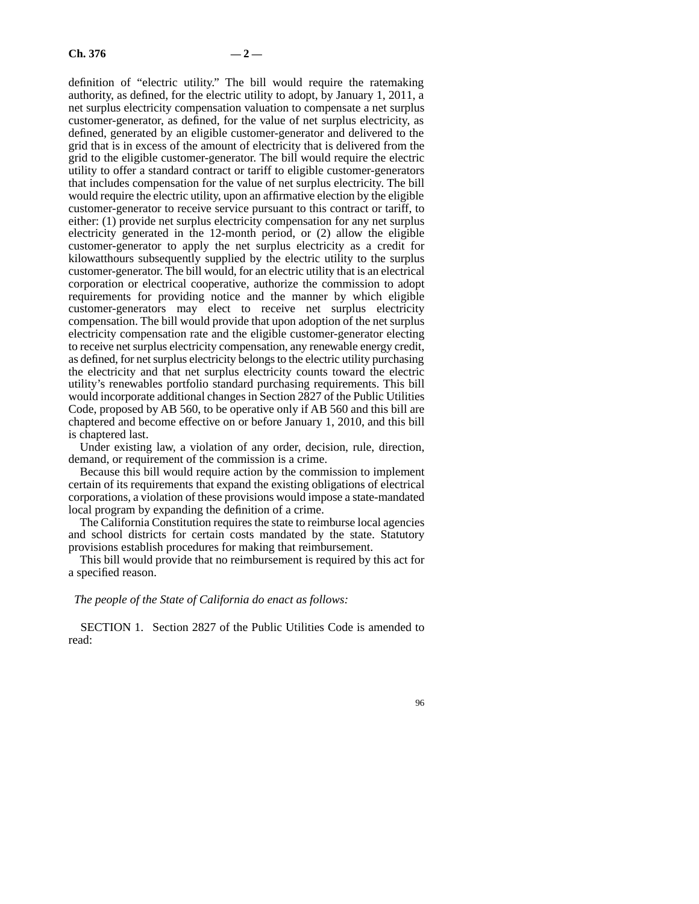definition of "electric utility." The bill would require the ratemaking authority, as defined, for the electric utility to adopt, by January 1, 2011, a net surplus electricity compensation valuation to compensate a net surplus customer-generator, as defined, for the value of net surplus electricity, as defined, generated by an eligible customer-generator and delivered to the grid that is in excess of the amount of electricity that is delivered from the grid to the eligible customer-generator. The bill would require the electric utility to offer a standard contract or tariff to eligible customer-generators that includes compensation for the value of net surplus electricity. The bill would require the electric utility, upon an affirmative election by the eligible customer-generator to receive service pursuant to this contract or tariff, to either: (1) provide net surplus electricity compensation for any net surplus electricity generated in the 12-month period, or (2) allow the eligible customer-generator to apply the net surplus electricity as a credit for kilowatthours subsequently supplied by the electric utility to the surplus customer-generator. The bill would, for an electric utility that is an electrical corporation or electrical cooperative, authorize the commission to adopt requirements for providing notice and the manner by which eligible customer-generators may elect to receive net surplus electricity compensation. The bill would provide that upon adoption of the net surplus electricity compensation rate and the eligible customer-generator electing to receive net surplus electricity compensation, any renewable energy credit, as defined, for net surplus electricity belongs to the electric utility purchasing the electricity and that net surplus electricity counts toward the electric utility's renewables portfolio standard purchasing requirements. This bill would incorporate additional changes in Section 2827 of the Public Utilities Code, proposed by AB 560, to be operative only if AB 560 and this bill are chaptered and become effective on or before January 1, 2010, and this bill is chaptered last.

Under existing law, a violation of any order, decision, rule, direction, demand, or requirement of the commission is a crime.

Because this bill would require action by the commission to implement certain of its requirements that expand the existing obligations of electrical corporations, a violation of these provisions would impose a state-mandated local program by expanding the definition of a crime.

The California Constitution requires the state to reimburse local agencies and school districts for certain costs mandated by the state. Statutory provisions establish procedures for making that reimbursement.

This bill would provide that no reimbursement is required by this act for a specified reason.

#### *The people of the State of California do enact as follows:*

SECTION 1. Section 2827 of the Public Utilities Code is amended to read: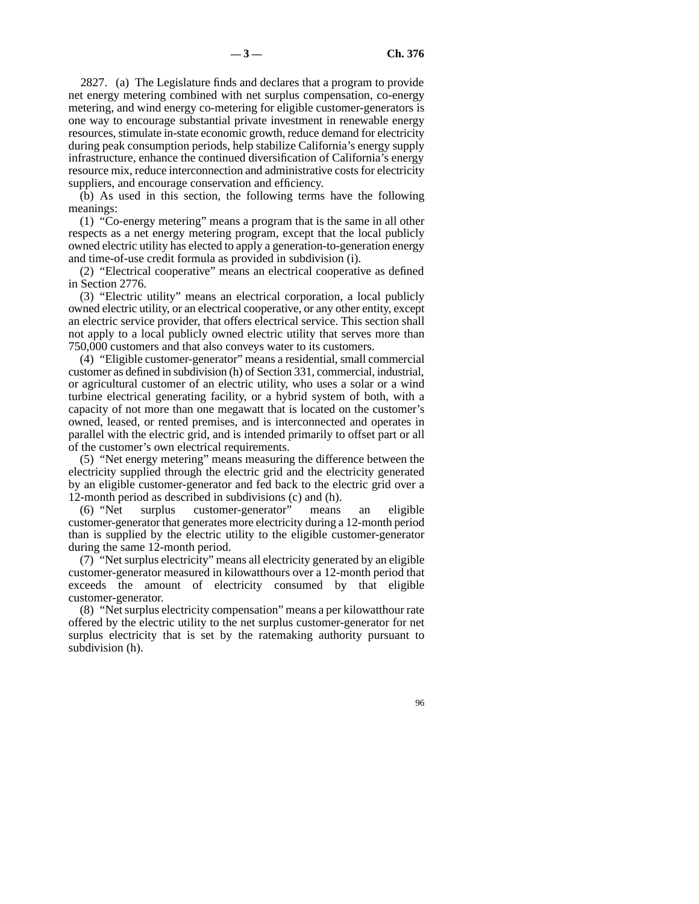2827. (a) The Legislature finds and declares that a program to provide net energy metering combined with net surplus compensation, co-energy metering, and wind energy co-metering for eligible customer-generators is one way to encourage substantial private investment in renewable energy resources, stimulate in-state economic growth, reduce demand for electricity during peak consumption periods, help stabilize California's energy supply infrastructure, enhance the continued diversification of California's energy resource mix, reduce interconnection and administrative costs for electricity suppliers, and encourage conservation and efficiency.

(b) As used in this section, the following terms have the following meanings:

(1) "Co-energy metering" means a program that is the same in all other respects as a net energy metering program, except that the local publicly owned electric utility has elected to apply a generation-to-generation energy and time-of-use credit formula as provided in subdivision (i).

(2) "Electrical cooperative" means an electrical cooperative as defined in Section 2776.

(3) "Electric utility" means an electrical corporation, a local publicly owned electric utility, or an electrical cooperative, or any other entity, except an electric service provider, that offers electrical service. This section shall not apply to a local publicly owned electric utility that serves more than 750,000 customers and that also conveys water to its customers.

(4) "Eligible customer-generator" means a residential, small commercial customer as defined in subdivision (h) of Section 331, commercial, industrial, or agricultural customer of an electric utility, who uses a solar or a wind turbine electrical generating facility, or a hybrid system of both, with a capacity of not more than one megawatt that is located on the customer's owned, leased, or rented premises, and is interconnected and operates in parallel with the electric grid, and is intended primarily to offset part or all of the customer's own electrical requirements.

(5) "Net energy metering" means measuring the difference between the electricity supplied through the electric grid and the electricity generated by an eligible customer-generator and fed back to the electric grid over a 12-month period as described in subdivisions (c) and (h).

(6) "Net surplus customer-generator" means an eligible customer-generator that generates more electricity during a 12-month period than is supplied by the electric utility to the eligible customer-generator during the same 12-month period.

(7) "Net surplus electricity" means all electricity generated by an eligible customer-generator measured in kilowatthours over a 12-month period that exceeds the amount of electricity consumed by that eligible customer-generator.

(8) "Net surplus electricity compensation" means a per kilowatthour rate offered by the electric utility to the net surplus customer-generator for net surplus electricity that is set by the ratemaking authority pursuant to subdivision (h).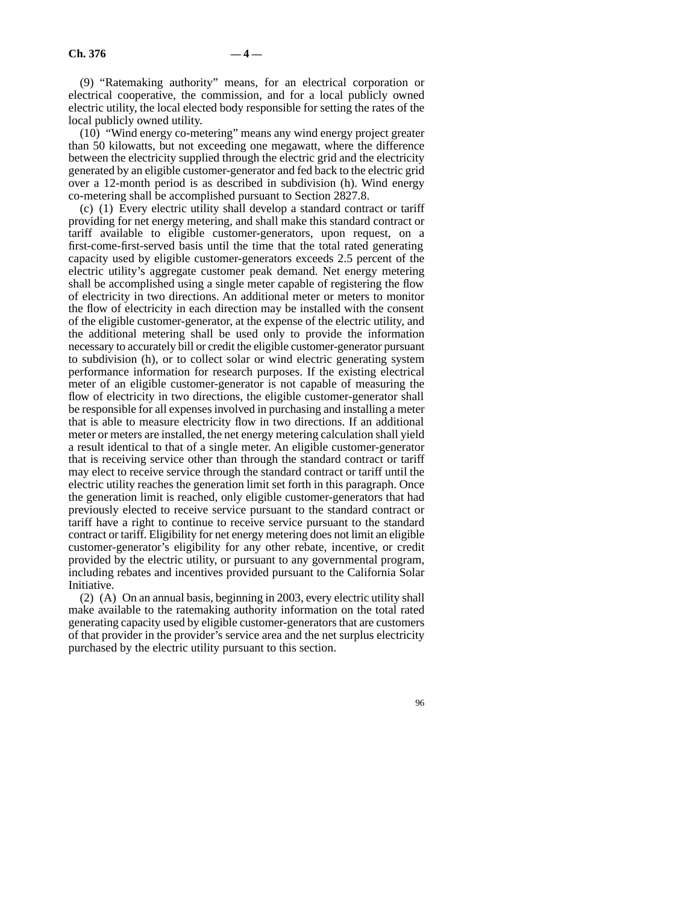(9) "Ratemaking authority" means, for an electrical corporation or electrical cooperative, the commission, and for a local publicly owned electric utility, the local elected body responsible for setting the rates of the local publicly owned utility.

(10) "Wind energy co-metering" means any wind energy project greater than 50 kilowatts, but not exceeding one megawatt, where the difference between the electricity supplied through the electric grid and the electricity generated by an eligible customer-generator and fed back to the electric grid over a 12-month period is as described in subdivision (h). Wind energy co-metering shall be accomplished pursuant to Section 2827.8.

(c) (1) Every electric utility shall develop a standard contract or tariff providing for net energy metering, and shall make this standard contract or tariff available to eligible customer-generators, upon request, on a first-come-first-served basis until the time that the total rated generating capacity used by eligible customer-generators exceeds 2.5 percent of the electric utility's aggregate customer peak demand. Net energy metering shall be accomplished using a single meter capable of registering the flow of electricity in two directions. An additional meter or meters to monitor the flow of electricity in each direction may be installed with the consent of the eligible customer-generator, at the expense of the electric utility, and the additional metering shall be used only to provide the information necessary to accurately bill or credit the eligible customer-generator pursuant to subdivision (h), or to collect solar or wind electric generating system performance information for research purposes. If the existing electrical meter of an eligible customer-generator is not capable of measuring the flow of electricity in two directions, the eligible customer-generator shall be responsible for all expenses involved in purchasing and installing a meter that is able to measure electricity flow in two directions. If an additional meter or meters are installed, the net energy metering calculation shall yield a result identical to that of a single meter. An eligible customer-generator that is receiving service other than through the standard contract or tariff may elect to receive service through the standard contract or tariff until the electric utility reaches the generation limit set forth in this paragraph. Once the generation limit is reached, only eligible customer-generators that had previously elected to receive service pursuant to the standard contract or tariff have a right to continue to receive service pursuant to the standard contract or tariff. Eligibility for net energy metering does not limit an eligible customer-generator's eligibility for any other rebate, incentive, or credit provided by the electric utility, or pursuant to any governmental program, including rebates and incentives provided pursuant to the California Solar Initiative.

(2) (A) On an annual basis, beginning in 2003, every electric utility shall make available to the ratemaking authority information on the total rated generating capacity used by eligible customer-generators that are customers of that provider in the provider's service area and the net surplus electricity purchased by the electric utility pursuant to this section.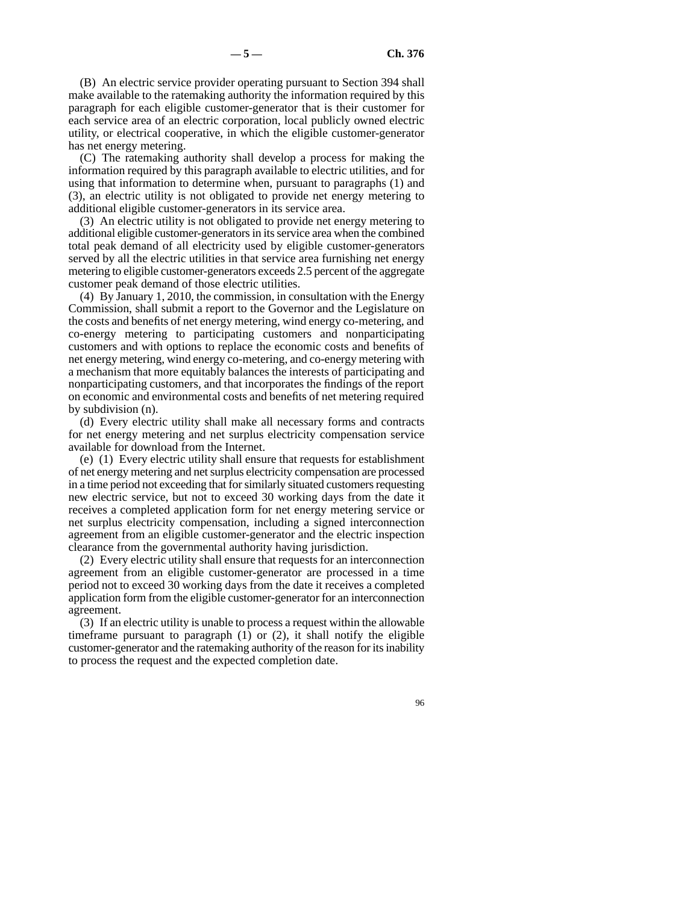(B) An electric service provider operating pursuant to Section 394 shall make available to the ratemaking authority the information required by this paragraph for each eligible customer-generator that is their customer for each service area of an electric corporation, local publicly owned electric utility, or electrical cooperative, in which the eligible customer-generator has net energy metering.

(C) The ratemaking authority shall develop a process for making the information required by this paragraph available to electric utilities, and for using that information to determine when, pursuant to paragraphs (1) and (3), an electric utility is not obligated to provide net energy metering to additional eligible customer-generators in its service area.

(3) An electric utility is not obligated to provide net energy metering to additional eligible customer-generators in its service area when the combined total peak demand of all electricity used by eligible customer-generators served by all the electric utilities in that service area furnishing net energy metering to eligible customer-generators exceeds 2.5 percent of the aggregate customer peak demand of those electric utilities.

(4) By January 1, 2010, the commission, in consultation with the Energy Commission, shall submit a report to the Governor and the Legislature on the costs and benefits of net energy metering, wind energy co-metering, and co-energy metering to participating customers and nonparticipating customers and with options to replace the economic costs and benefits of net energy metering, wind energy co-metering, and co-energy metering with a mechanism that more equitably balances the interests of participating and nonparticipating customers, and that incorporates the findings of the report on economic and environmental costs and benefits of net metering required by subdivision (n).

(d) Every electric utility shall make all necessary forms and contracts for net energy metering and net surplus electricity compensation service available for download from the Internet.

(e) (1) Every electric utility shall ensure that requests for establishment of net energy metering and net surplus electricity compensation are processed in a time period not exceeding that for similarly situated customers requesting new electric service, but not to exceed 30 working days from the date it receives a completed application form for net energy metering service or net surplus electricity compensation, including a signed interconnection agreement from an eligible customer-generator and the electric inspection clearance from the governmental authority having jurisdiction.

(2) Every electric utility shall ensure that requests for an interconnection agreement from an eligible customer-generator are processed in a time period not to exceed 30 working days from the date it receives a completed application form from the eligible customer-generator for an interconnection agreement.

(3) If an electric utility is unable to process a request within the allowable timeframe pursuant to paragraph (1) or (2), it shall notify the eligible customer-generator and the ratemaking authority of the reason for its inability to process the request and the expected completion date.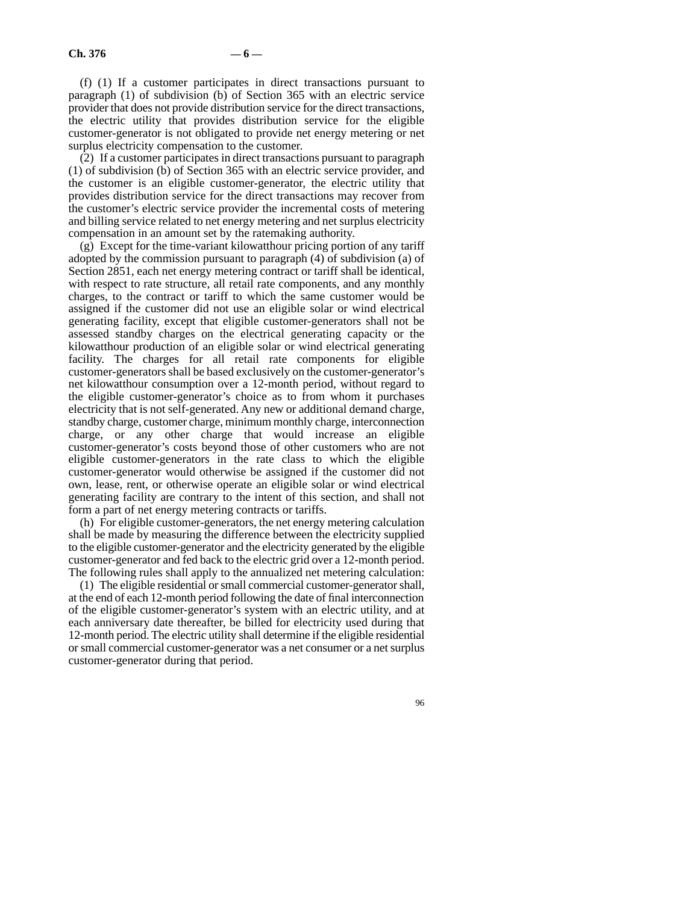(f) (1) If a customer participates in direct transactions pursuant to paragraph (1) of subdivision (b) of Section 365 with an electric service provider that does not provide distribution service for the direct transactions, the electric utility that provides distribution service for the eligible customer-generator is not obligated to provide net energy metering or net surplus electricity compensation to the customer.

(2) If a customer participates in direct transactions pursuant to paragraph (1) of subdivision (b) of Section 365 with an electric service provider, and the customer is an eligible customer-generator, the electric utility that provides distribution service for the direct transactions may recover from the customer's electric service provider the incremental costs of metering and billing service related to net energy metering and net surplus electricity compensation in an amount set by the ratemaking authority.

(g) Except for the time-variant kilowatthour pricing portion of any tariff adopted by the commission pursuant to paragraph (4) of subdivision (a) of Section 2851, each net energy metering contract or tariff shall be identical, with respect to rate structure, all retail rate components, and any monthly charges, to the contract or tariff to which the same customer would be assigned if the customer did not use an eligible solar or wind electrical generating facility, except that eligible customer-generators shall not be assessed standby charges on the electrical generating capacity or the kilowatthour production of an eligible solar or wind electrical generating facility. The charges for all retail rate components for eligible customer-generators shall be based exclusively on the customer-generator's net kilowatthour consumption over a 12-month period, without regard to the eligible customer-generator's choice as to from whom it purchases electricity that is not self-generated. Any new or additional demand charge, standby charge, customer charge, minimum monthly charge, interconnection charge, or any other charge that would increase an eligible customer-generator's costs beyond those of other customers who are not eligible customer-generators in the rate class to which the eligible customer-generator would otherwise be assigned if the customer did not own, lease, rent, or otherwise operate an eligible solar or wind electrical generating facility are contrary to the intent of this section, and shall not form a part of net energy metering contracts or tariffs.

(h) For eligible customer-generators, the net energy metering calculation shall be made by measuring the difference between the electricity supplied to the eligible customer-generator and the electricity generated by the eligible customer-generator and fed back to the electric grid over a 12-month period. The following rules shall apply to the annualized net metering calculation:

(1) The eligible residential or small commercial customer-generator shall, at the end of each 12-month period following the date of final interconnection of the eligible customer-generator's system with an electric utility, and at each anniversary date thereafter, be billed for electricity used during that 12-month period. The electric utility shall determine if the eligible residential or small commercial customer-generator was a net consumer or a net surplus customer-generator during that period.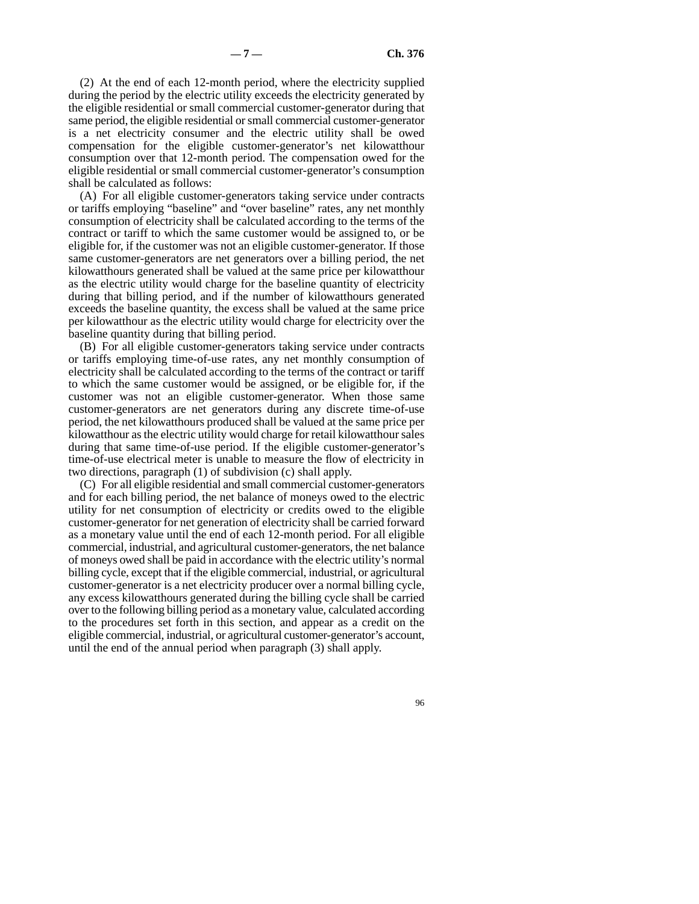(2) At the end of each 12-month period, where the electricity supplied during the period by the electric utility exceeds the electricity generated by the eligible residential or small commercial customer-generator during that same period, the eligible residential or small commercial customer-generator is a net electricity consumer and the electric utility shall be owed compensation for the eligible customer-generator's net kilowatthour consumption over that 12-month period. The compensation owed for the eligible residential or small commercial customer-generator's consumption shall be calculated as follows:

(A) For all eligible customer-generators taking service under contracts or tariffs employing "baseline" and "over baseline" rates, any net monthly consumption of electricity shall be calculated according to the terms of the contract or tariff to which the same customer would be assigned to, or be eligible for, if the customer was not an eligible customer-generator. If those same customer-generators are net generators over a billing period, the net kilowatthours generated shall be valued at the same price per kilowatthour as the electric utility would charge for the baseline quantity of electricity during that billing period, and if the number of kilowatthours generated exceeds the baseline quantity, the excess shall be valued at the same price per kilowatthour as the electric utility would charge for electricity over the baseline quantity during that billing period.

(B) For all eligible customer-generators taking service under contracts or tariffs employing time-of-use rates, any net monthly consumption of electricity shall be calculated according to the terms of the contract or tariff to which the same customer would be assigned, or be eligible for, if the customer was not an eligible customer-generator. When those same customer-generators are net generators during any discrete time-of-use period, the net kilowatthours produced shall be valued at the same price per kilowatthour as the electric utility would charge for retail kilowatthour sales during that same time-of-use period. If the eligible customer-generator's time-of-use electrical meter is unable to measure the flow of electricity in two directions, paragraph (1) of subdivision (c) shall apply.

(C) For all eligible residential and small commercial customer-generators and for each billing period, the net balance of moneys owed to the electric utility for net consumption of electricity or credits owed to the eligible customer-generator for net generation of electricity shall be carried forward as a monetary value until the end of each 12-month period. For all eligible commercial, industrial, and agricultural customer-generators, the net balance of moneys owed shall be paid in accordance with the electric utility's normal billing cycle, except that if the eligible commercial, industrial, or agricultural customer-generator is a net electricity producer over a normal billing cycle, any excess kilowatthours generated during the billing cycle shall be carried over to the following billing period as a monetary value, calculated according to the procedures set forth in this section, and appear as a credit on the eligible commercial, industrial, or agricultural customer-generator's account, until the end of the annual period when paragraph (3) shall apply.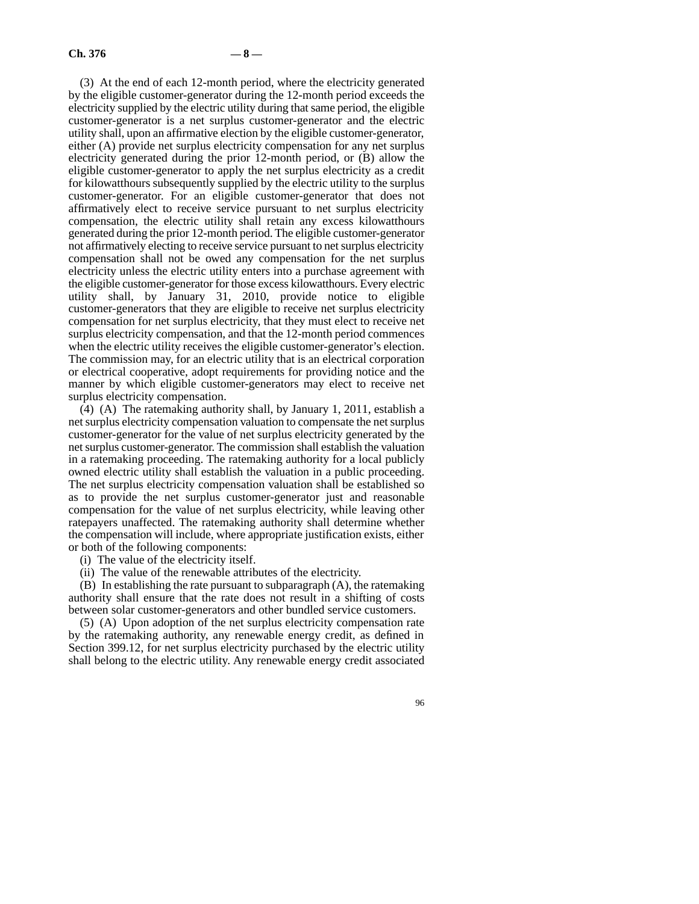(3) At the end of each 12-month period, where the electricity generated by the eligible customer-generator during the 12-month period exceeds the electricity supplied by the electric utility during that same period, the eligible customer-generator is a net surplus customer-generator and the electric utility shall, upon an affirmative election by the eligible customer-generator, either (A) provide net surplus electricity compensation for any net surplus electricity generated during the prior 12-month period, or (B) allow the eligible customer-generator to apply the net surplus electricity as a credit for kilowatthours subsequently supplied by the electric utility to the surplus customer-generator. For an eligible customer-generator that does not affirmatively elect to receive service pursuant to net surplus electricity compensation, the electric utility shall retain any excess kilowatthours generated during the prior 12-month period. The eligible customer-generator not affirmatively electing to receive service pursuant to net surplus electricity compensation shall not be owed any compensation for the net surplus electricity unless the electric utility enters into a purchase agreement with the eligible customer-generator for those excess kilowatthours. Every electric utility shall, by January 31, 2010, provide notice to eligible customer-generators that they are eligible to receive net surplus electricity compensation for net surplus electricity, that they must elect to receive net surplus electricity compensation, and that the 12-month period commences when the electric utility receives the eligible customer-generator's election. The commission may, for an electric utility that is an electrical corporation or electrical cooperative, adopt requirements for providing notice and the manner by which eligible customer-generators may elect to receive net surplus electricity compensation.

(4) (A) The ratemaking authority shall, by January 1, 2011, establish a net surplus electricity compensation valuation to compensate the net surplus customer-generator for the value of net surplus electricity generated by the net surplus customer-generator. The commission shall establish the valuation in a ratemaking proceeding. The ratemaking authority for a local publicly owned electric utility shall establish the valuation in a public proceeding. The net surplus electricity compensation valuation shall be established so as to provide the net surplus customer-generator just and reasonable compensation for the value of net surplus electricity, while leaving other ratepayers unaffected. The ratemaking authority shall determine whether the compensation will include, where appropriate justification exists, either or both of the following components:

(i) The value of the electricity itself.

(ii) The value of the renewable attributes of the electricity.

(B) In establishing the rate pursuant to subparagraph (A), the ratemaking authority shall ensure that the rate does not result in a shifting of costs between solar customer-generators and other bundled service customers.

(5) (A) Upon adoption of the net surplus electricity compensation rate by the ratemaking authority, any renewable energy credit, as defined in Section 399.12, for net surplus electricity purchased by the electric utility shall belong to the electric utility. Any renewable energy credit associated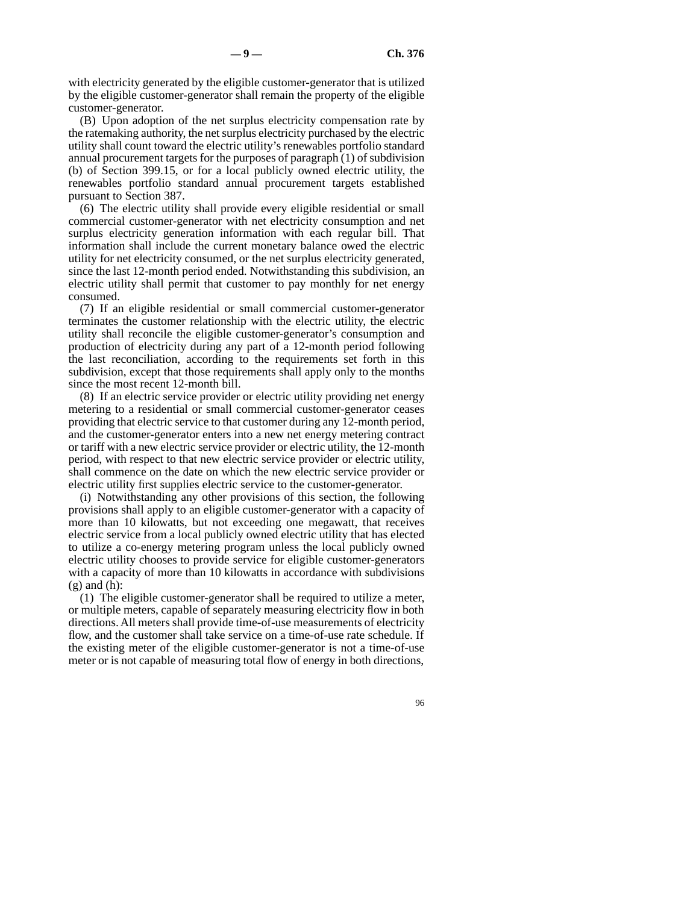with electricity generated by the eligible customer-generator that is utilized by the eligible customer-generator shall remain the property of the eligible customer-generator.

(B) Upon adoption of the net surplus electricity compensation rate by the ratemaking authority, the net surplus electricity purchased by the electric utility shall count toward the electric utility's renewables portfolio standard annual procurement targets for the purposes of paragraph (1) of subdivision (b) of Section 399.15, or for a local publicly owned electric utility, the renewables portfolio standard annual procurement targets established pursuant to Section 387.

(6) The electric utility shall provide every eligible residential or small commercial customer-generator with net electricity consumption and net surplus electricity generation information with each regular bill. That information shall include the current monetary balance owed the electric utility for net electricity consumed, or the net surplus electricity generated, since the last 12-month period ended. Notwithstanding this subdivision, an electric utility shall permit that customer to pay monthly for net energy consumed.

(7) If an eligible residential or small commercial customer-generator terminates the customer relationship with the electric utility, the electric utility shall reconcile the eligible customer-generator's consumption and production of electricity during any part of a 12-month period following the last reconciliation, according to the requirements set forth in this subdivision, except that those requirements shall apply only to the months since the most recent 12-month bill.

(8) If an electric service provider or electric utility providing net energy metering to a residential or small commercial customer-generator ceases providing that electric service to that customer during any 12-month period, and the customer-generator enters into a new net energy metering contract or tariff with a new electric service provider or electric utility, the 12-month period, with respect to that new electric service provider or electric utility, shall commence on the date on which the new electric service provider or electric utility first supplies electric service to the customer-generator.

(i) Notwithstanding any other provisions of this section, the following provisions shall apply to an eligible customer-generator with a capacity of more than 10 kilowatts, but not exceeding one megawatt, that receives electric service from a local publicly owned electric utility that has elected to utilize a co-energy metering program unless the local publicly owned electric utility chooses to provide service for eligible customer-generators with a capacity of more than 10 kilowatts in accordance with subdivisions  $(g)$  and  $(h)$ :

(1) The eligible customer-generator shall be required to utilize a meter, or multiple meters, capable of separately measuring electricity flow in both directions. All meters shall provide time-of-use measurements of electricity flow, and the customer shall take service on a time-of-use rate schedule. If the existing meter of the eligible customer-generator is not a time-of-use meter or is not capable of measuring total flow of energy in both directions,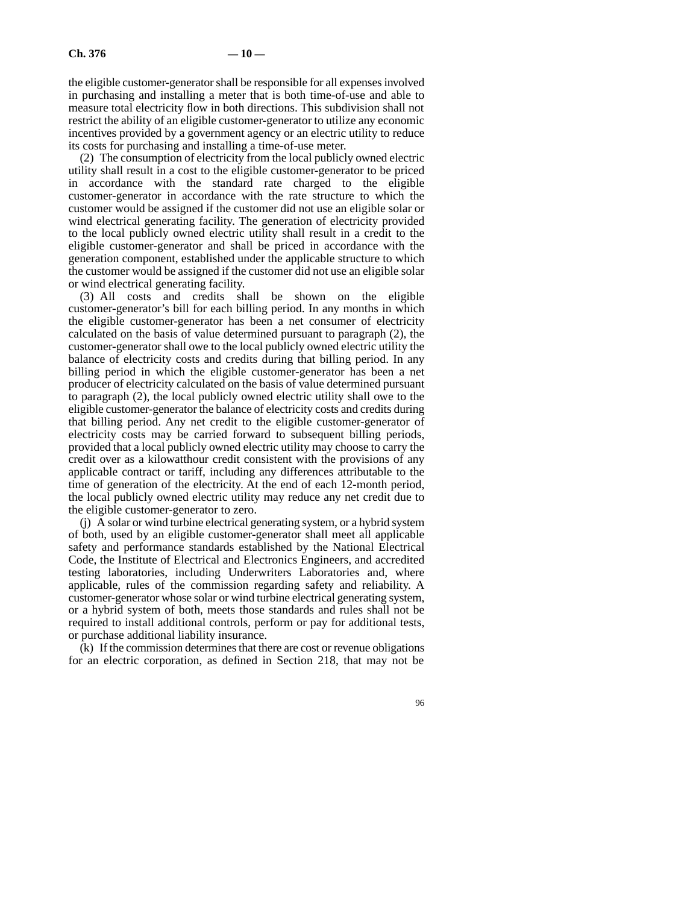the eligible customer-generator shall be responsible for all expenses involved in purchasing and installing a meter that is both time-of-use and able to measure total electricity flow in both directions. This subdivision shall not restrict the ability of an eligible customer-generator to utilize any economic incentives provided by a government agency or an electric utility to reduce its costs for purchasing and installing a time-of-use meter.

(2) The consumption of electricity from the local publicly owned electric utility shall result in a cost to the eligible customer-generator to be priced in accordance with the standard rate charged to the eligible customer-generator in accordance with the rate structure to which the customer would be assigned if the customer did not use an eligible solar or wind electrical generating facility. The generation of electricity provided to the local publicly owned electric utility shall result in a credit to the eligible customer-generator and shall be priced in accordance with the generation component, established under the applicable structure to which the customer would be assigned if the customer did not use an eligible solar or wind electrical generating facility.

(3) All costs and credits shall be shown on the eligible customer-generator's bill for each billing period. In any months in which the eligible customer-generator has been a net consumer of electricity calculated on the basis of value determined pursuant to paragraph (2), the customer-generator shall owe to the local publicly owned electric utility the balance of electricity costs and credits during that billing period. In any billing period in which the eligible customer-generator has been a net producer of electricity calculated on the basis of value determined pursuant to paragraph (2), the local publicly owned electric utility shall owe to the eligible customer-generator the balance of electricity costs and credits during that billing period. Any net credit to the eligible customer-generator of electricity costs may be carried forward to subsequent billing periods, provided that a local publicly owned electric utility may choose to carry the credit over as a kilowatthour credit consistent with the provisions of any applicable contract or tariff, including any differences attributable to the time of generation of the electricity. At the end of each 12-month period, the local publicly owned electric utility may reduce any net credit due to the eligible customer-generator to zero.

(j) A solar or wind turbine electrical generating system, or a hybrid system of both, used by an eligible customer-generator shall meet all applicable safety and performance standards established by the National Electrical Code, the Institute of Electrical and Electronics Engineers, and accredited testing laboratories, including Underwriters Laboratories and, where applicable, rules of the commission regarding safety and reliability. A customer-generator whose solar or wind turbine electrical generating system, or a hybrid system of both, meets those standards and rules shall not be required to install additional controls, perform or pay for additional tests, or purchase additional liability insurance.

(k) If the commission determines that there are cost or revenue obligations for an electric corporation, as defined in Section 218, that may not be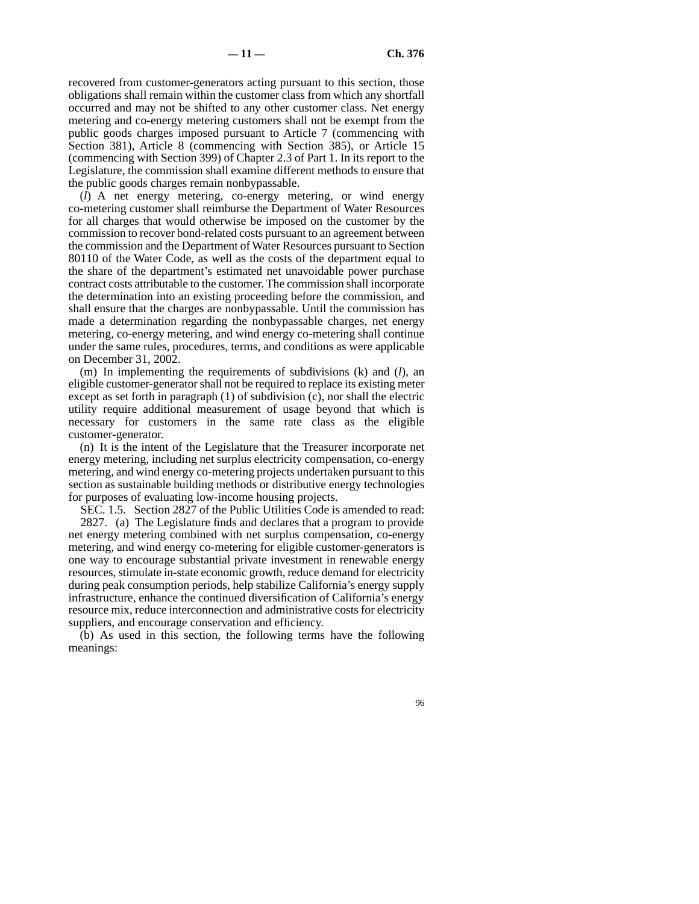recovered from customer-generators acting pursuant to this section, those obligations shall remain within the customer class from which any shortfall occurred and may not be shifted to any other customer class. Net energy metering and co-energy metering customers shall not be exempt from the public goods charges imposed pursuant to Article 7 (commencing with Section 381), Article 8 (commencing with Section 385), or Article 15 (commencing with Section 399) of Chapter 2.3 of Part 1. In its report to the Legislature, the commission shall examine different methods to ensure that the public goods charges remain nonbypassable.

(*l*) A net energy metering, co-energy metering, or wind energy co-metering customer shall reimburse the Department of Water Resources for all charges that would otherwise be imposed on the customer by the commission to recover bond-related costs pursuant to an agreement between the commission and the Department of Water Resources pursuant to Section 80110 of the Water Code, as well as the costs of the department equal to the share of the department's estimated net unavoidable power purchase contract costs attributable to the customer. The commission shall incorporate the determination into an existing proceeding before the commission, and shall ensure that the charges are nonbypassable. Until the commission has made a determination regarding the nonbypassable charges, net energy metering, co-energy metering, and wind energy co-metering shall continue under the same rules, procedures, terms, and conditions as were applicable on December 31, 2002.

(m) In implementing the requirements of subdivisions (k) and (*l*), an eligible customer-generator shall not be required to replace its existing meter except as set forth in paragraph (1) of subdivision (c), nor shall the electric utility require additional measurement of usage beyond that which is necessary for customers in the same rate class as the eligible customer-generator.

(n) It is the intent of the Legislature that the Treasurer incorporate net energy metering, including net surplus electricity compensation, co-energy metering, and wind energy co-metering projects undertaken pursuant to this section as sustainable building methods or distributive energy technologies for purposes of evaluating low-income housing projects.

SEC. 1.5. Section 2827 of the Public Utilities Code is amended to read:

2827. (a) The Legislature finds and declares that a program to provide net energy metering combined with net surplus compensation, co-energy metering, and wind energy co-metering for eligible customer-generators is one way to encourage substantial private investment in renewable energy resources, stimulate in-state economic growth, reduce demand for electricity during peak consumption periods, help stabilize California's energy supply infrastructure, enhance the continued diversification of California's energy resource mix, reduce interconnection and administrative costs for electricity suppliers, and encourage conservation and efficiency.

(b) As used in this section, the following terms have the following meanings: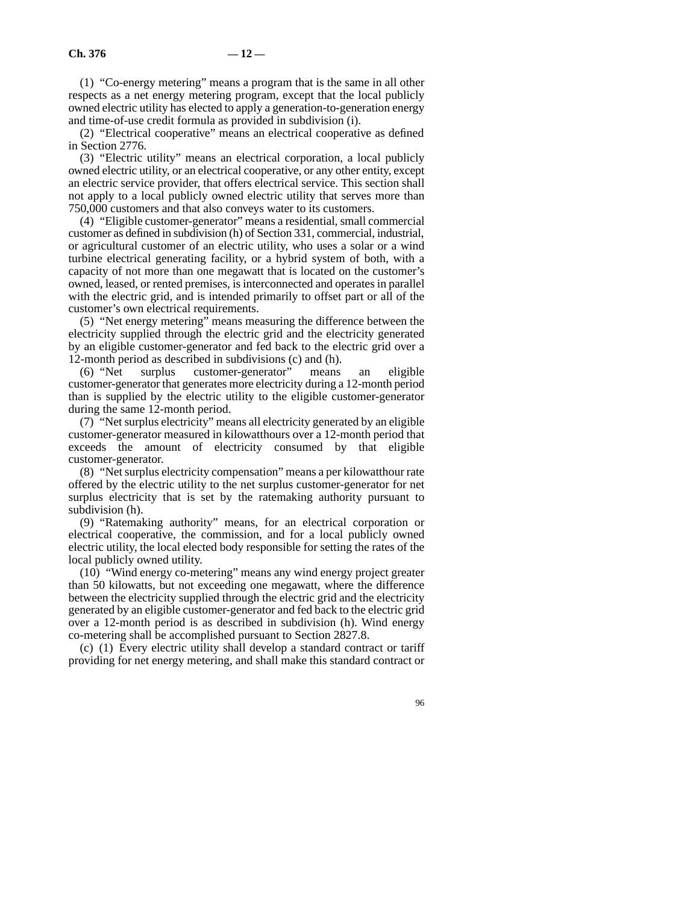(1) "Co-energy metering" means a program that is the same in all other respects as a net energy metering program, except that the local publicly owned electric utility has elected to apply a generation-to-generation energy and time-of-use credit formula as provided in subdivision (i).

(2) "Electrical cooperative" means an electrical cooperative as defined in Section 2776.

(3) "Electric utility" means an electrical corporation, a local publicly owned electric utility, or an electrical cooperative, or any other entity, except an electric service provider, that offers electrical service. This section shall not apply to a local publicly owned electric utility that serves more than 750,000 customers and that also conveys water to its customers.

(4) "Eligible customer-generator" means a residential, small commercial customer as defined in subdivision (h) of Section 331, commercial, industrial, or agricultural customer of an electric utility, who uses a solar or a wind turbine electrical generating facility, or a hybrid system of both, with a capacity of not more than one megawatt that is located on the customer's owned, leased, or rented premises, is interconnected and operates in parallel with the electric grid, and is intended primarily to offset part or all of the customer's own electrical requirements.

(5) "Net energy metering" means measuring the difference between the electricity supplied through the electric grid and the electricity generated by an eligible customer-generator and fed back to the electric grid over a 12-month period as described in subdivisions (c) and (h).

(6) "Net surplus customer-generator" means an eligible customer-generator that generates more electricity during a 12-month period than is supplied by the electric utility to the eligible customer-generator during the same 12-month period.

(7) "Net surplus electricity" means all electricity generated by an eligible customer-generator measured in kilowatthours over a 12-month period that exceeds the amount of electricity consumed by that eligible customer-generator.

(8) "Net surplus electricity compensation" means a per kilowatthour rate offered by the electric utility to the net surplus customer-generator for net surplus electricity that is set by the ratemaking authority pursuant to subdivision (h).

(9) "Ratemaking authority" means, for an electrical corporation or electrical cooperative, the commission, and for a local publicly owned electric utility, the local elected body responsible for setting the rates of the local publicly owned utility.

(10) "Wind energy co-metering" means any wind energy project greater than 50 kilowatts, but not exceeding one megawatt, where the difference between the electricity supplied through the electric grid and the electricity generated by an eligible customer-generator and fed back to the electric grid over a 12-month period is as described in subdivision (h). Wind energy co-metering shall be accomplished pursuant to Section 2827.8.

(c) (1) Every electric utility shall develop a standard contract or tariff providing for net energy metering, and shall make this standard contract or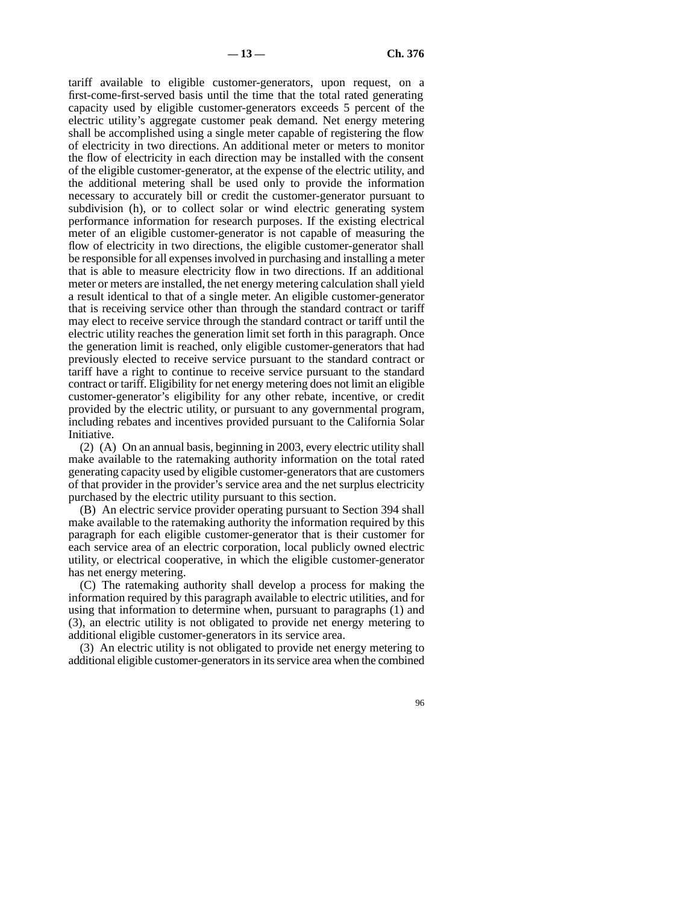tariff available to eligible customer-generators, upon request, on a first-come-first-served basis until the time that the total rated generating capacity used by eligible customer-generators exceeds 5 percent of the electric utility's aggregate customer peak demand. Net energy metering shall be accomplished using a single meter capable of registering the flow of electricity in two directions. An additional meter or meters to monitor the flow of electricity in each direction may be installed with the consent of the eligible customer-generator, at the expense of the electric utility, and the additional metering shall be used only to provide the information necessary to accurately bill or credit the customer-generator pursuant to subdivision (h), or to collect solar or wind electric generating system performance information for research purposes. If the existing electrical meter of an eligible customer-generator is not capable of measuring the flow of electricity in two directions, the eligible customer-generator shall be responsible for all expenses involved in purchasing and installing a meter that is able to measure electricity flow in two directions. If an additional meter or meters are installed, the net energy metering calculation shall yield a result identical to that of a single meter. An eligible customer-generator that is receiving service other than through the standard contract or tariff may elect to receive service through the standard contract or tariff until the electric utility reaches the generation limit set forth in this paragraph. Once the generation limit is reached, only eligible customer-generators that had previously elected to receive service pursuant to the standard contract or tariff have a right to continue to receive service pursuant to the standard contract or tariff. Eligibility for net energy metering does not limit an eligible customer-generator's eligibility for any other rebate, incentive, or credit provided by the electric utility, or pursuant to any governmental program, including rebates and incentives provided pursuant to the California Solar Initiative.

(2) (A) On an annual basis, beginning in 2003, every electric utility shall make available to the ratemaking authority information on the total rated generating capacity used by eligible customer-generators that are customers of that provider in the provider's service area and the net surplus electricity purchased by the electric utility pursuant to this section.

(B) An electric service provider operating pursuant to Section 394 shall make available to the ratemaking authority the information required by this paragraph for each eligible customer-generator that is their customer for each service area of an electric corporation, local publicly owned electric utility, or electrical cooperative, in which the eligible customer-generator has net energy metering.

(C) The ratemaking authority shall develop a process for making the information required by this paragraph available to electric utilities, and for using that information to determine when, pursuant to paragraphs (1) and (3), an electric utility is not obligated to provide net energy metering to additional eligible customer-generators in its service area.

(3) An electric utility is not obligated to provide net energy metering to additional eligible customer-generators in its service area when the combined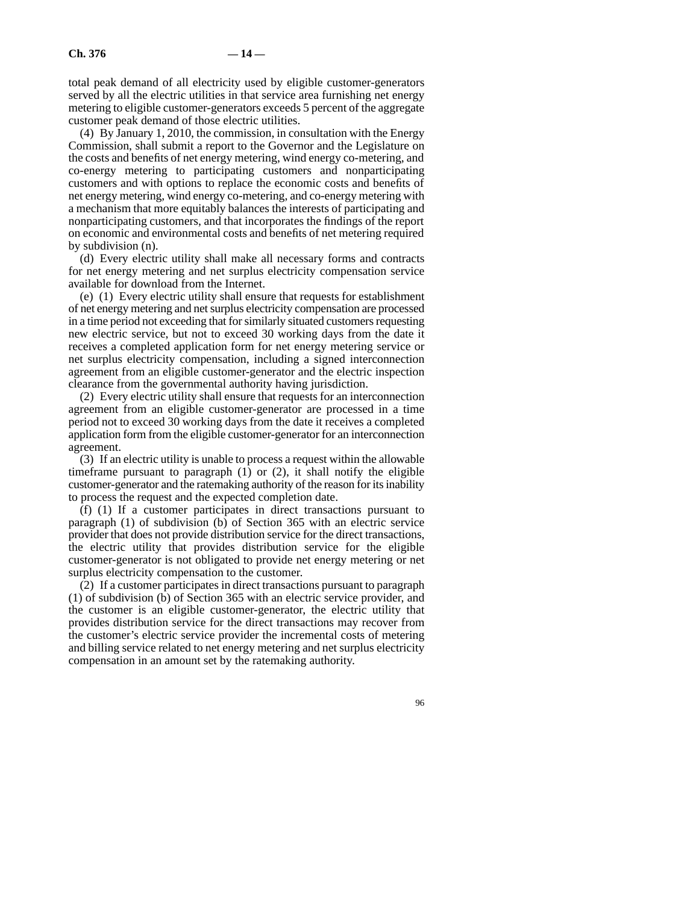total peak demand of all electricity used by eligible customer-generators served by all the electric utilities in that service area furnishing net energy metering to eligible customer-generators exceeds 5 percent of the aggregate customer peak demand of those electric utilities.

(4) By January 1, 2010, the commission, in consultation with the Energy Commission, shall submit a report to the Governor and the Legislature on the costs and benefits of net energy metering, wind energy co-metering, and co-energy metering to participating customers and nonparticipating customers and with options to replace the economic costs and benefits of net energy metering, wind energy co-metering, and co-energy metering with a mechanism that more equitably balances the interests of participating and nonparticipating customers, and that incorporates the findings of the report on economic and environmental costs and benefits of net metering required by subdivision (n).

(d) Every electric utility shall make all necessary forms and contracts for net energy metering and net surplus electricity compensation service available for download from the Internet.

(e) (1) Every electric utility shall ensure that requests for establishment of net energy metering and net surplus electricity compensation are processed in a time period not exceeding that for similarly situated customers requesting new electric service, but not to exceed 30 working days from the date it receives a completed application form for net energy metering service or net surplus electricity compensation, including a signed interconnection agreement from an eligible customer-generator and the electric inspection clearance from the governmental authority having jurisdiction.

(2) Every electric utility shall ensure that requests for an interconnection agreement from an eligible customer-generator are processed in a time period not to exceed 30 working days from the date it receives a completed application form from the eligible customer-generator for an interconnection agreement.

(3) If an electric utility is unable to process a request within the allowable timeframe pursuant to paragraph (1) or (2), it shall notify the eligible customer-generator and the ratemaking authority of the reason for its inability to process the request and the expected completion date.

(f) (1) If a customer participates in direct transactions pursuant to paragraph (1) of subdivision (b) of Section 365 with an electric service provider that does not provide distribution service for the direct transactions, the electric utility that provides distribution service for the eligible customer-generator is not obligated to provide net energy metering or net surplus electricity compensation to the customer.

(2) If a customer participates in direct transactions pursuant to paragraph (1) of subdivision (b) of Section 365 with an electric service provider, and the customer is an eligible customer-generator, the electric utility that provides distribution service for the direct transactions may recover from the customer's electric service provider the incremental costs of metering and billing service related to net energy metering and net surplus electricity compensation in an amount set by the ratemaking authority.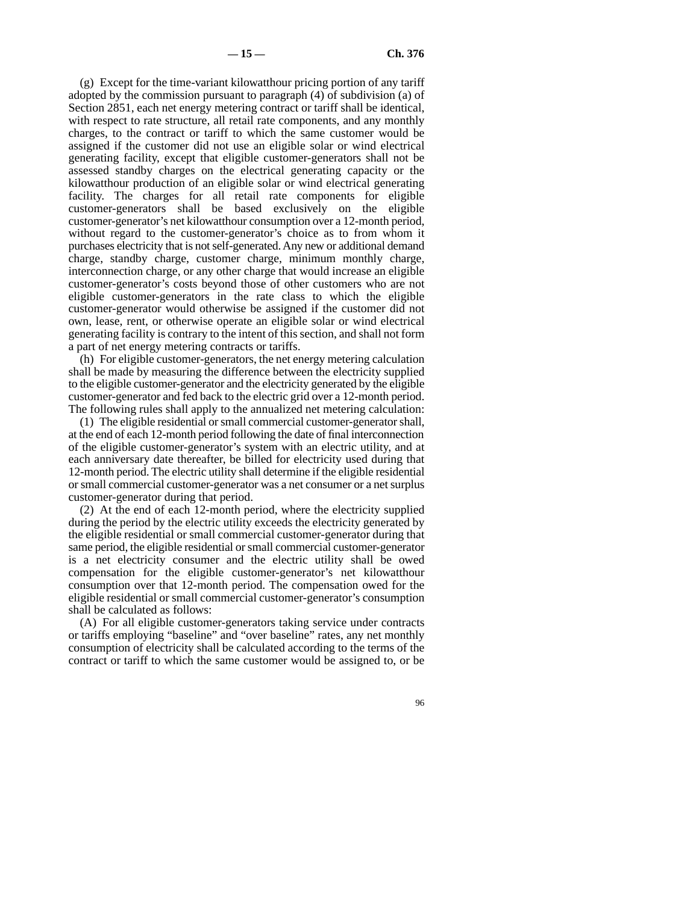(g) Except for the time-variant kilowatthour pricing portion of any tariff adopted by the commission pursuant to paragraph (4) of subdivision (a) of Section 2851, each net energy metering contract or tariff shall be identical, with respect to rate structure, all retail rate components, and any monthly charges, to the contract or tariff to which the same customer would be assigned if the customer did not use an eligible solar or wind electrical generating facility, except that eligible customer-generators shall not be assessed standby charges on the electrical generating capacity or the kilowatthour production of an eligible solar or wind electrical generating facility. The charges for all retail rate components for eligible customer-generators shall be based exclusively on the eligible customer-generator's net kilowatthour consumption over a 12-month period, without regard to the customer-generator's choice as to from whom it purchases electricity that is not self-generated. Any new or additional demand charge, standby charge, customer charge, minimum monthly charge, interconnection charge, or any other charge that would increase an eligible customer-generator's costs beyond those of other customers who are not eligible customer-generators in the rate class to which the eligible customer-generator would otherwise be assigned if the customer did not own, lease, rent, or otherwise operate an eligible solar or wind electrical generating facility is contrary to the intent of this section, and shall not form a part of net energy metering contracts or tariffs.

(h) For eligible customer-generators, the net energy metering calculation shall be made by measuring the difference between the electricity supplied to the eligible customer-generator and the electricity generated by the eligible customer-generator and fed back to the electric grid over a 12-month period. The following rules shall apply to the annualized net metering calculation:

(1) The eligible residential or small commercial customer-generator shall, at the end of each 12-month period following the date of final interconnection of the eligible customer-generator's system with an electric utility, and at each anniversary date thereafter, be billed for electricity used during that 12-month period. The electric utility shall determine if the eligible residential or small commercial customer-generator was a net consumer or a net surplus customer-generator during that period.

(2) At the end of each 12-month period, where the electricity supplied during the period by the electric utility exceeds the electricity generated by the eligible residential or small commercial customer-generator during that same period, the eligible residential or small commercial customer-generator is a net electricity consumer and the electric utility shall be owed compensation for the eligible customer-generator's net kilowatthour consumption over that 12-month period. The compensation owed for the eligible residential or small commercial customer-generator's consumption shall be calculated as follows:

(A) For all eligible customer-generators taking service under contracts or tariffs employing "baseline" and "over baseline" rates, any net monthly consumption of electricity shall be calculated according to the terms of the contract or tariff to which the same customer would be assigned to, or be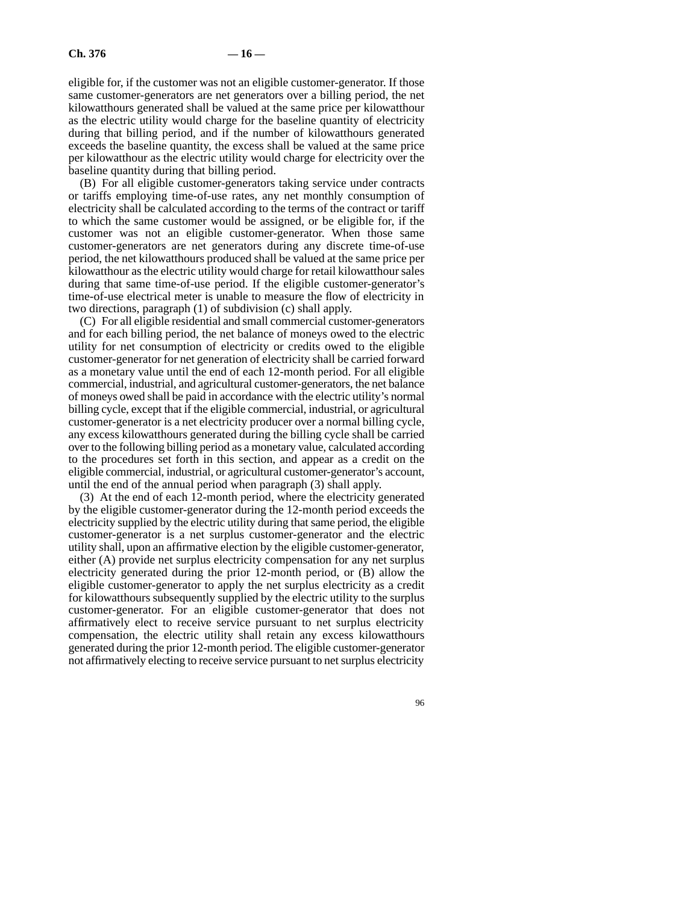eligible for, if the customer was not an eligible customer-generator. If those same customer-generators are net generators over a billing period, the net kilowatthours generated shall be valued at the same price per kilowatthour as the electric utility would charge for the baseline quantity of electricity during that billing period, and if the number of kilowatthours generated exceeds the baseline quantity, the excess shall be valued at the same price per kilowatthour as the electric utility would charge for electricity over the baseline quantity during that billing period.

(B) For all eligible customer-generators taking service under contracts or tariffs employing time-of-use rates, any net monthly consumption of electricity shall be calculated according to the terms of the contract or tariff to which the same customer would be assigned, or be eligible for, if the customer was not an eligible customer-generator. When those same customer-generators are net generators during any discrete time-of-use period, the net kilowatthours produced shall be valued at the same price per kilowatthour as the electric utility would charge for retail kilowatthour sales during that same time-of-use period. If the eligible customer-generator's time-of-use electrical meter is unable to measure the flow of electricity in two directions, paragraph (1) of subdivision (c) shall apply.

(C) For all eligible residential and small commercial customer-generators and for each billing period, the net balance of moneys owed to the electric utility for net consumption of electricity or credits owed to the eligible customer-generator for net generation of electricity shall be carried forward as a monetary value until the end of each 12-month period. For all eligible commercial, industrial, and agricultural customer-generators, the net balance of moneys owed shall be paid in accordance with the electric utility's normal billing cycle, except that if the eligible commercial, industrial, or agricultural customer-generator is a net electricity producer over a normal billing cycle, any excess kilowatthours generated during the billing cycle shall be carried over to the following billing period as a monetary value, calculated according to the procedures set forth in this section, and appear as a credit on the eligible commercial, industrial, or agricultural customer-generator's account, until the end of the annual period when paragraph (3) shall apply.

(3) At the end of each 12-month period, where the electricity generated by the eligible customer-generator during the 12-month period exceeds the electricity supplied by the electric utility during that same period, the eligible customer-generator is a net surplus customer-generator and the electric utility shall, upon an affirmative election by the eligible customer-generator, either (A) provide net surplus electricity compensation for any net surplus electricity generated during the prior 12-month period, or (B) allow the eligible customer-generator to apply the net surplus electricity as a credit for kilowatthours subsequently supplied by the electric utility to the surplus customer-generator. For an eligible customer-generator that does not affirmatively elect to receive service pursuant to net surplus electricity compensation, the electric utility shall retain any excess kilowatthours generated during the prior 12-month period. The eligible customer-generator not affirmatively electing to receive service pursuant to net surplus electricity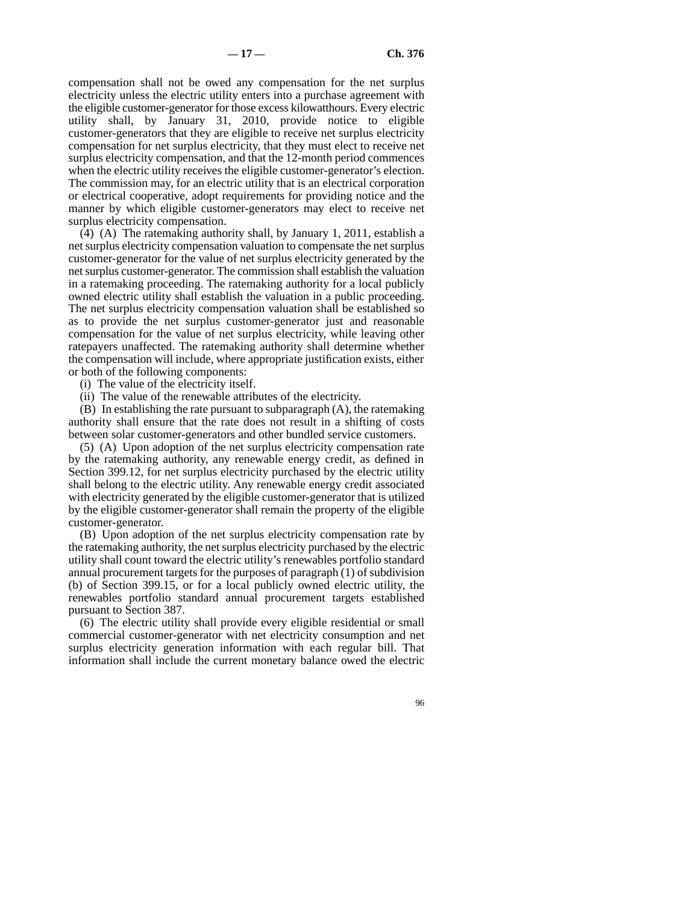compensation shall not be owed any compensation for the net surplus electricity unless the electric utility enters into a purchase agreement with the eligible customer-generator for those excess kilowatthours. Every electric utility shall, by January 31, 2010, provide notice to eligible customer-generators that they are eligible to receive net surplus electricity compensation for net surplus electricity, that they must elect to receive net surplus electricity compensation, and that the 12-month period commences when the electric utility receives the eligible customer-generator's election. The commission may, for an electric utility that is an electrical corporation or electrical cooperative, adopt requirements for providing notice and the manner by which eligible customer-generators may elect to receive net surplus electricity compensation.

 $(A)$  (A) The ratemaking authority shall, by January 1, 2011, establish a net surplus electricity compensation valuation to compensate the net surplus customer-generator for the value of net surplus electricity generated by the net surplus customer-generator. The commission shall establish the valuation in a ratemaking proceeding. The ratemaking authority for a local publicly owned electric utility shall establish the valuation in a public proceeding. The net surplus electricity compensation valuation shall be established so as to provide the net surplus customer-generator just and reasonable compensation for the value of net surplus electricity, while leaving other ratepayers unaffected. The ratemaking authority shall determine whether the compensation will include, where appropriate justification exists, either or both of the following components:

(i) The value of the electricity itself.

(ii) The value of the renewable attributes of the electricity.

(B) In establishing the rate pursuant to subparagraph (A), the ratemaking authority shall ensure that the rate does not result in a shifting of costs between solar customer-generators and other bundled service customers.

(5) (A) Upon adoption of the net surplus electricity compensation rate by the ratemaking authority, any renewable energy credit, as defined in Section 399.12, for net surplus electricity purchased by the electric utility shall belong to the electric utility. Any renewable energy credit associated with electricity generated by the eligible customer-generator that is utilized by the eligible customer-generator shall remain the property of the eligible customer-generator.

(B) Upon adoption of the net surplus electricity compensation rate by the ratemaking authority, the net surplus electricity purchased by the electric utility shall count toward the electric utility's renewables portfolio standard annual procurement targets for the purposes of paragraph (1) of subdivision (b) of Section 399.15, or for a local publicly owned electric utility, the renewables portfolio standard annual procurement targets established pursuant to Section 387.

(6) The electric utility shall provide every eligible residential or small commercial customer-generator with net electricity consumption and net surplus electricity generation information with each regular bill. That information shall include the current monetary balance owed the electric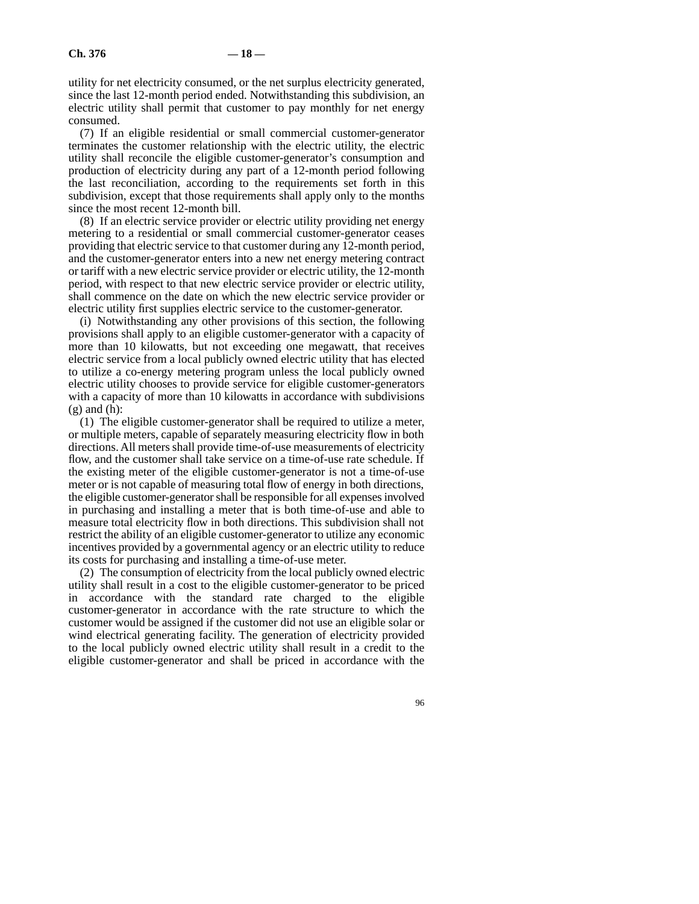utility for net electricity consumed, or the net surplus electricity generated, since the last 12-month period ended. Notwithstanding this subdivision, an electric utility shall permit that customer to pay monthly for net energy consumed.

(7) If an eligible residential or small commercial customer-generator terminates the customer relationship with the electric utility, the electric utility shall reconcile the eligible customer-generator's consumption and production of electricity during any part of a 12-month period following the last reconciliation, according to the requirements set forth in this subdivision, except that those requirements shall apply only to the months since the most recent 12-month bill.

(8) If an electric service provider or electric utility providing net energy metering to a residential or small commercial customer-generator ceases providing that electric service to that customer during any 12-month period, and the customer-generator enters into a new net energy metering contract or tariff with a new electric service provider or electric utility, the 12-month period, with respect to that new electric service provider or electric utility, shall commence on the date on which the new electric service provider or electric utility first supplies electric service to the customer-generator.

(i) Notwithstanding any other provisions of this section, the following provisions shall apply to an eligible customer-generator with a capacity of more than 10 kilowatts, but not exceeding one megawatt, that receives electric service from a local publicly owned electric utility that has elected to utilize a co-energy metering program unless the local publicly owned electric utility chooses to provide service for eligible customer-generators with a capacity of more than 10 kilowatts in accordance with subdivisions  $(g)$  and  $(h)$ :

(1) The eligible customer-generator shall be required to utilize a meter, or multiple meters, capable of separately measuring electricity flow in both directions. All meters shall provide time-of-use measurements of electricity flow, and the customer shall take service on a time-of-use rate schedule. If the existing meter of the eligible customer-generator is not a time-of-use meter or is not capable of measuring total flow of energy in both directions, the eligible customer-generator shall be responsible for all expenses involved in purchasing and installing a meter that is both time-of-use and able to measure total electricity flow in both directions. This subdivision shall not restrict the ability of an eligible customer-generator to utilize any economic incentives provided by a governmental agency or an electric utility to reduce its costs for purchasing and installing a time-of-use meter.

(2) The consumption of electricity from the local publicly owned electric utility shall result in a cost to the eligible customer-generator to be priced in accordance with the standard rate charged to the eligible customer-generator in accordance with the rate structure to which the customer would be assigned if the customer did not use an eligible solar or wind electrical generating facility. The generation of electricity provided to the local publicly owned electric utility shall result in a credit to the eligible customer-generator and shall be priced in accordance with the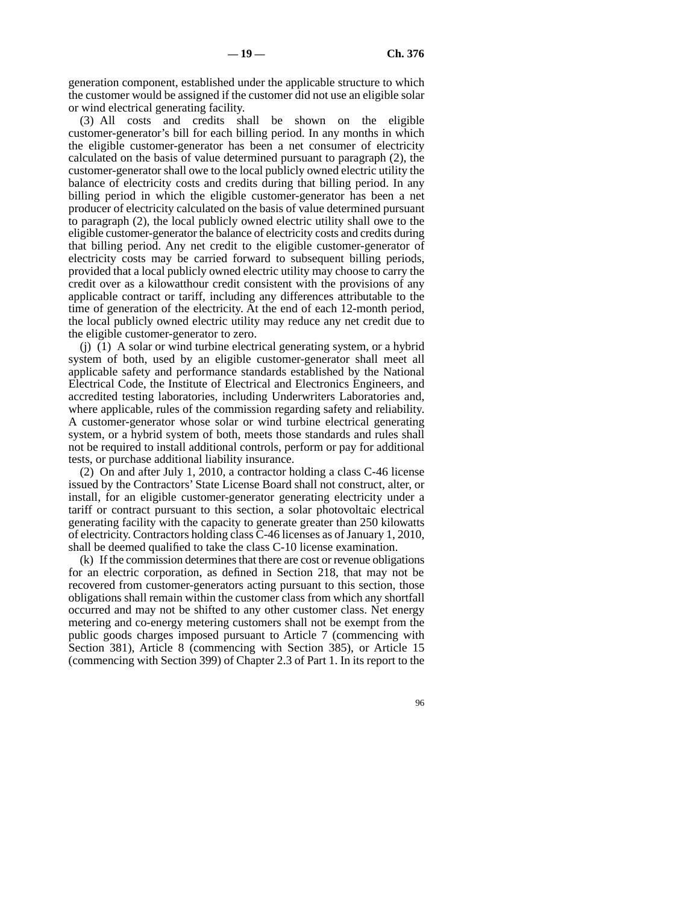generation component, established under the applicable structure to which the customer would be assigned if the customer did not use an eligible solar or wind electrical generating facility.

(3) All costs and credits shall be shown on the eligible customer-generator's bill for each billing period. In any months in which the eligible customer-generator has been a net consumer of electricity calculated on the basis of value determined pursuant to paragraph (2), the customer-generator shall owe to the local publicly owned electric utility the balance of electricity costs and credits during that billing period. In any billing period in which the eligible customer-generator has been a net producer of electricity calculated on the basis of value determined pursuant to paragraph (2), the local publicly owned electric utility shall owe to the eligible customer-generator the balance of electricity costs and credits during that billing period. Any net credit to the eligible customer-generator of electricity costs may be carried forward to subsequent billing periods, provided that a local publicly owned electric utility may choose to carry the credit over as a kilowatthour credit consistent with the provisions of any applicable contract or tariff, including any differences attributable to the time of generation of the electricity. At the end of each 12-month period, the local publicly owned electric utility may reduce any net credit due to the eligible customer-generator to zero.

(j) (1) A solar or wind turbine electrical generating system, or a hybrid system of both, used by an eligible customer-generator shall meet all applicable safety and performance standards established by the National Electrical Code, the Institute of Electrical and Electronics Engineers, and accredited testing laboratories, including Underwriters Laboratories and, where applicable, rules of the commission regarding safety and reliability. A customer-generator whose solar or wind turbine electrical generating system, or a hybrid system of both, meets those standards and rules shall not be required to install additional controls, perform or pay for additional tests, or purchase additional liability insurance.

(2) On and after July 1, 2010, a contractor holding a class C-46 license issued by the Contractors' State License Board shall not construct, alter, or install, for an eligible customer-generator generating electricity under a tariff or contract pursuant to this section, a solar photovoltaic electrical generating facility with the capacity to generate greater than 250 kilowatts of electricity. Contractors holding class C-46 licenses as of January 1, 2010, shall be deemed qualified to take the class C-10 license examination.

(k) If the commission determines that there are cost or revenue obligations for an electric corporation, as defined in Section 218, that may not be recovered from customer-generators acting pursuant to this section, those obligations shall remain within the customer class from which any shortfall occurred and may not be shifted to any other customer class. Net energy metering and co-energy metering customers shall not be exempt from the public goods charges imposed pursuant to Article 7 (commencing with Section 381), Article 8 (commencing with Section 385), or Article 15 (commencing with Section 399) of Chapter 2.3 of Part 1. In its report to the